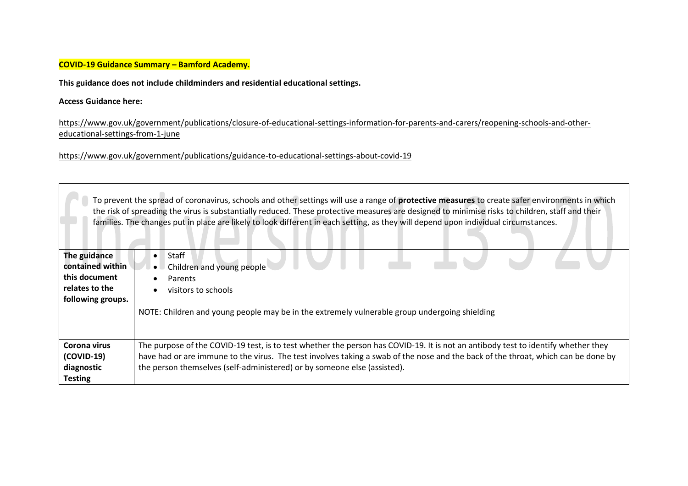## **COVID-19 Guidance Summary – Bamford Academy.**

**This guidance does not include childminders and residential educational settings.** 

## **Access Guidance here:**

[https://www.gov.uk/government/publications/closure-of-educational-settings-information-for-parents-and-carers/reopening-schools-and-other](https://www.gov.uk/government/publications/closure-of-educational-settings-information-for-parents-and-carers/reopening-schools-and-other-educational-settings-from-1-june)[educational-settings-from-1-june](https://www.gov.uk/government/publications/closure-of-educational-settings-information-for-parents-and-carers/reopening-schools-and-other-educational-settings-from-1-june)

<https://www.gov.uk/government/publications/guidance-to-educational-settings-about-covid-19>

|                                                                                          | To prevent the spread of coronavirus, schools and other settings will use a range of protective measures to create safer environments in which<br>the risk of spreading the virus is substantially reduced. These protective measures are designed to minimise risks to children, staff and their<br>families. The changes put in place are likely to look different in each setting, as they will depend upon individual circumstances. |
|------------------------------------------------------------------------------------------|------------------------------------------------------------------------------------------------------------------------------------------------------------------------------------------------------------------------------------------------------------------------------------------------------------------------------------------------------------------------------------------------------------------------------------------|
| The guidance<br>contained within<br>this document<br>relates to the<br>following groups. | Staff<br>$\bullet$<br>Children and young people<br>Parents<br>visitors to schools<br>NOTE: Children and young people may be in the extremely vulnerable group undergoing shielding                                                                                                                                                                                                                                                       |
| Corona virus<br>(COVID-19)<br>diagnostic<br><b>Testing</b>                               | The purpose of the COVID-19 test, is to test whether the person has COVID-19. It is not an antibody test to identify whether they<br>have had or are immune to the virus. The test involves taking a swab of the nose and the back of the throat, which can be done by<br>the person themselves (self-administered) or by someone else (assisted).                                                                                       |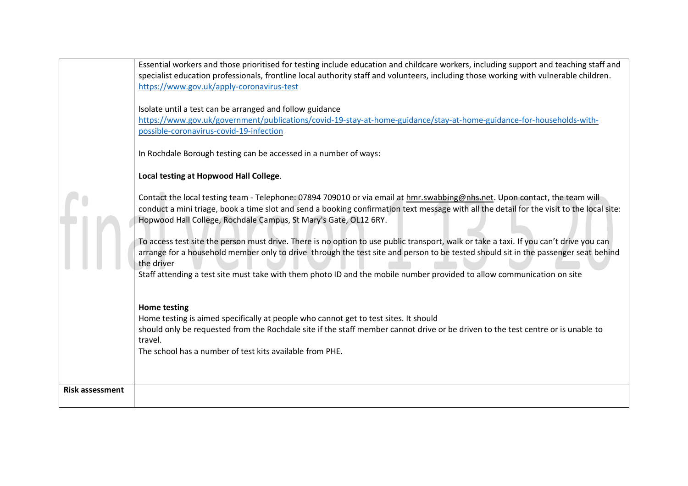|                        | Essential workers and those prioritised for testing include education and childcare workers, including support and teaching staff and     |
|------------------------|-------------------------------------------------------------------------------------------------------------------------------------------|
|                        | specialist education professionals, frontline local authority staff and volunteers, including those working with vulnerable children.     |
|                        | https://www.gov.uk/apply-coronavirus-test                                                                                                 |
|                        |                                                                                                                                           |
|                        | Isolate until a test can be arranged and follow guidance                                                                                  |
|                        | https://www.gov.uk/government/publications/covid-19-stay-at-home-guidance/stay-at-home-guidance-for-households-with-                      |
|                        | possible-coronavirus-covid-19-infection                                                                                                   |
|                        | In Rochdale Borough testing can be accessed in a number of ways:                                                                          |
|                        | Local testing at Hopwood Hall College.                                                                                                    |
|                        | Contact the local testing team - Telephone: 07894 709010 or via email at hmr.swabbing@nhs.net. Upon contact, the team will                |
|                        | conduct a mini triage, book a time slot and send a booking confirmation text message with all the detail for the visit to the local site: |
|                        | Hopwood Hall College, Rochdale Campus, St Mary's Gate, OL12 6RY.                                                                          |
|                        |                                                                                                                                           |
|                        | To access test site the person must drive. There is no option to use public transport, walk or take a taxi. If you can't drive you can    |
|                        | arrange for a household member only to drive through the test site and person to be tested should sit in the passenger seat behind        |
|                        | the driver                                                                                                                                |
|                        | Staff attending a test site must take with them photo ID and the mobile number provided to allow communication on site                    |
|                        |                                                                                                                                           |
|                        |                                                                                                                                           |
|                        | <b>Home testing</b><br>Home testing is aimed specifically at people who cannot get to test sites. It should                               |
|                        | should only be requested from the Rochdale site if the staff member cannot drive or be driven to the test centre or is unable to          |
|                        | travel.                                                                                                                                   |
|                        | The school has a number of test kits available from PHE.                                                                                  |
|                        |                                                                                                                                           |
|                        |                                                                                                                                           |
| <b>Risk assessment</b> |                                                                                                                                           |
|                        |                                                                                                                                           |
|                        |                                                                                                                                           |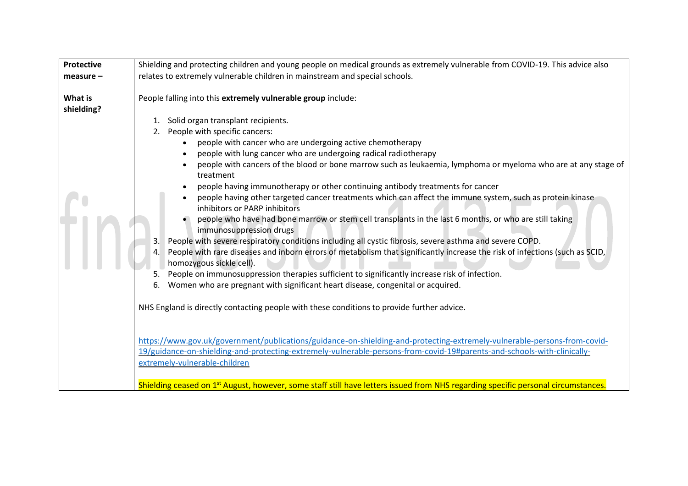| Protective  | Shielding and protecting children and young people on medical grounds as extremely vulnerable from COVID-19. This advice also                                                                                                                                                                                                                                                                                                                                                                                                                                                                                                                                                                                                                                                                                                                                                                                                                                                                                                                                                                                                                                                                                                                                                                                                                                                                                                                                                                                                                                                                                                                                                                                                            |  |  |  |
|-------------|------------------------------------------------------------------------------------------------------------------------------------------------------------------------------------------------------------------------------------------------------------------------------------------------------------------------------------------------------------------------------------------------------------------------------------------------------------------------------------------------------------------------------------------------------------------------------------------------------------------------------------------------------------------------------------------------------------------------------------------------------------------------------------------------------------------------------------------------------------------------------------------------------------------------------------------------------------------------------------------------------------------------------------------------------------------------------------------------------------------------------------------------------------------------------------------------------------------------------------------------------------------------------------------------------------------------------------------------------------------------------------------------------------------------------------------------------------------------------------------------------------------------------------------------------------------------------------------------------------------------------------------------------------------------------------------------------------------------------------------|--|--|--|
| $measure -$ | relates to extremely vulnerable children in mainstream and special schools.                                                                                                                                                                                                                                                                                                                                                                                                                                                                                                                                                                                                                                                                                                                                                                                                                                                                                                                                                                                                                                                                                                                                                                                                                                                                                                                                                                                                                                                                                                                                                                                                                                                              |  |  |  |
| What is     | People falling into this extremely vulnerable group include:                                                                                                                                                                                                                                                                                                                                                                                                                                                                                                                                                                                                                                                                                                                                                                                                                                                                                                                                                                                                                                                                                                                                                                                                                                                                                                                                                                                                                                                                                                                                                                                                                                                                             |  |  |  |
| shielding?  | Solid organ transplant recipients.<br>1.<br>People with specific cancers:<br>2.<br>people with cancer who are undergoing active chemotherapy<br>people with lung cancer who are undergoing radical radiotherapy<br>people with cancers of the blood or bone marrow such as leukaemia, lymphoma or myeloma who are at any stage of<br>treatment<br>people having immunotherapy or other continuing antibody treatments for cancer<br>people having other targeted cancer treatments which can affect the immune system, such as protein kinase<br>inhibitors or PARP inhibitors<br>people who have had bone marrow or stem cell transplants in the last 6 months, or who are still taking<br>immunosuppression drugs<br>People with severe respiratory conditions including all cystic fibrosis, severe asthma and severe COPD.<br>3.<br>4. People with rare diseases and inborn errors of metabolism that significantly increase the risk of infections (such as SCID,<br>homozygous sickle cell).<br>People on immunosuppression therapies sufficient to significantly increase risk of infection.<br>5.<br>Women who are pregnant with significant heart disease, congenital or acquired.<br>6.<br>NHS England is directly contacting people with these conditions to provide further advice.<br>https://www.gov.uk/government/publications/guidance-on-shielding-and-protecting-extremely-vulnerable-persons-from-covid-<br>19/guidance-on-shielding-and-protecting-extremely-vulnerable-persons-from-covid-19#parents-and-schools-with-clinically-<br>extremely-vulnerable-children<br>Shielding ceased on 1 <sup>st</sup> August, however, some staff still have letters issued from NHS regarding specific personal circumstances. |  |  |  |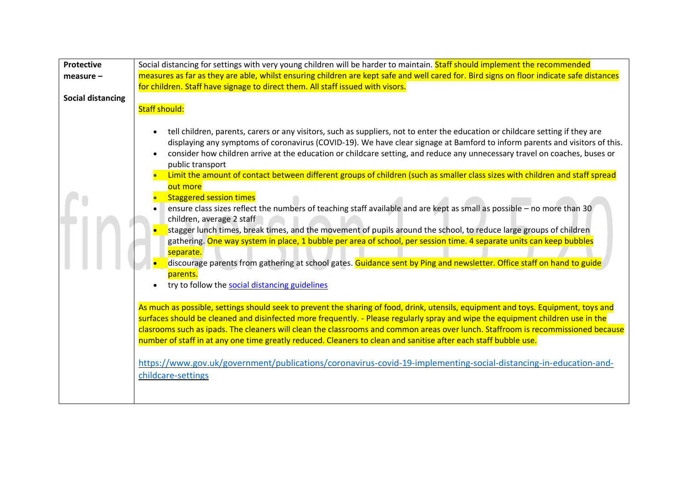| Protective<br>Social distancing for settings with very young children will be harder to maintain. Staff should implement the recommended                                                                                                                                                                                                                                                                                                                                                                                                                                                                                                                                                                                                                                                                                                                                                                                                                                                                                                                                                                                                                                                                                                                                                                                                                                                                                                                                                                                                                                                                                                                                                                                                                                                                                                                                          |  |
|-----------------------------------------------------------------------------------------------------------------------------------------------------------------------------------------------------------------------------------------------------------------------------------------------------------------------------------------------------------------------------------------------------------------------------------------------------------------------------------------------------------------------------------------------------------------------------------------------------------------------------------------------------------------------------------------------------------------------------------------------------------------------------------------------------------------------------------------------------------------------------------------------------------------------------------------------------------------------------------------------------------------------------------------------------------------------------------------------------------------------------------------------------------------------------------------------------------------------------------------------------------------------------------------------------------------------------------------------------------------------------------------------------------------------------------------------------------------------------------------------------------------------------------------------------------------------------------------------------------------------------------------------------------------------------------------------------------------------------------------------------------------------------------------------------------------------------------------------------------------------------------|--|
| measures as far as they are able, whilst ensuring children are kept safe and well cared for. Bird signs on floor indicate safe distances<br>$measure -$                                                                                                                                                                                                                                                                                                                                                                                                                                                                                                                                                                                                                                                                                                                                                                                                                                                                                                                                                                                                                                                                                                                                                                                                                                                                                                                                                                                                                                                                                                                                                                                                                                                                                                                           |  |
| for children. Staff have signage to direct them. All staff issued with visors.                                                                                                                                                                                                                                                                                                                                                                                                                                                                                                                                                                                                                                                                                                                                                                                                                                                                                                                                                                                                                                                                                                                                                                                                                                                                                                                                                                                                                                                                                                                                                                                                                                                                                                                                                                                                    |  |
| <b>Social distancing</b>                                                                                                                                                                                                                                                                                                                                                                                                                                                                                                                                                                                                                                                                                                                                                                                                                                                                                                                                                                                                                                                                                                                                                                                                                                                                                                                                                                                                                                                                                                                                                                                                                                                                                                                                                                                                                                                          |  |
| Staff should:                                                                                                                                                                                                                                                                                                                                                                                                                                                                                                                                                                                                                                                                                                                                                                                                                                                                                                                                                                                                                                                                                                                                                                                                                                                                                                                                                                                                                                                                                                                                                                                                                                                                                                                                                                                                                                                                     |  |
| tell children, parents, carers or any visitors, such as suppliers, not to enter the education or childcare setting if they are<br>displaying any symptoms of coronavirus (COVID-19). We have clear signage at Bamford to inform parents and visitors of this.<br>consider how children arrive at the education or childcare setting, and reduce any unnecessary travel on coaches, buses or<br>public transport<br>Limit the amount of contact between different groups of children (such as smaller class sizes with children and staff spread<br>out more<br><b>Staggered session times</b><br>ensure class sizes reflect the numbers of teaching staff available and are kept as small as possible - no more than 30<br>children, average 2 staff<br>stagger lunch times, break times, and the movement of pupils around the school, to reduce large groups of children<br>gathering. One way system in place, 1 bubble per area of school, per session time. 4 separate units can keep bubbles<br>separate.<br>discourage parents from gathering at school gates. Guidance sent by Ping and newsletter. Office staff on hand to guide<br>parents.<br>try to follow the social distancing guidelines<br>As much as possible, settings should seek to prevent the sharing of food, drink, utensils, equipment and toys. Equipment, toys and<br>surfaces should be cleaned and disinfected more frequently. - Please regularly spray and wipe the equipment children use in the<br>clasrooms such as ipads. The cleaners will clean the classrooms and common areas over lunch. Staffroom is recommissioned because<br>number of staff in at any one time greatly reduced. Cleaners to clean and sanitise after each staff bubble use.<br>https://www.gov.uk/government/publications/coronavirus-covid-19-implementing-social-distancing-in-education-and-<br>childcare-settings |  |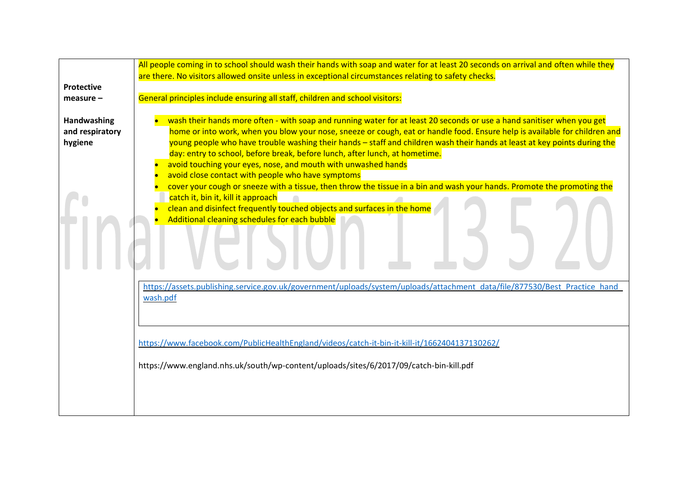|                   | All people coming in to school should wash their hands with soap and water for at least 20 seconds on arrival and often while they |  |  |
|-------------------|------------------------------------------------------------------------------------------------------------------------------------|--|--|
|                   | are there. No visitors allowed onsite unless in exceptional circumstances relating to safety checks.                               |  |  |
| <b>Protective</b> |                                                                                                                                    |  |  |
| $measure -$       | General principles include ensuring all staff, children and school visitors:                                                       |  |  |
|                   |                                                                                                                                    |  |  |
| Handwashing       | wash their hands more often - with soap and running water for at least 20 seconds or use a hand sanitiser when you get             |  |  |
| and respiratory   | home or into work, when you blow your nose, sneeze or cough, eat or handle food. Ensure help is available for children and         |  |  |
| hygiene           | young people who have trouble washing their hands – staff and children wash their hands at least at key points during the          |  |  |
|                   | day: entry to school, before break, before lunch, after lunch, at hometime.                                                        |  |  |
|                   | avoid touching your eyes, nose, and mouth with unwashed hands                                                                      |  |  |
|                   | avoid close contact with people who have symptoms                                                                                  |  |  |
|                   | cover your cough or sneeze with a tissue, then throw the tissue in a bin and wash your hands. Promote the promoting the            |  |  |
|                   | catch it, bin it, kill it approach                                                                                                 |  |  |
|                   | clean and disinfect frequently touched objects and surfaces in the home                                                            |  |  |
|                   | Additional cleaning schedules for each bubble                                                                                      |  |  |
|                   |                                                                                                                                    |  |  |
|                   |                                                                                                                                    |  |  |
|                   |                                                                                                                                    |  |  |
|                   |                                                                                                                                    |  |  |
|                   |                                                                                                                                    |  |  |
|                   | https://assets.publishing.service.gov.uk/government/uploads/system/uploads/attachment data/file/877530/Best Practice hand          |  |  |
|                   | wash.pdf                                                                                                                           |  |  |
|                   |                                                                                                                                    |  |  |
|                   |                                                                                                                                    |  |  |
|                   |                                                                                                                                    |  |  |
|                   | https://www.facebook.com/PublicHealthEngland/videos/catch-it-bin-it-kill-it/1662404137130262/                                      |  |  |
|                   |                                                                                                                                    |  |  |
|                   | https://www.england.nhs.uk/south/wp-content/uploads/sites/6/2017/09/catch-bin-kill.pdf                                             |  |  |
|                   |                                                                                                                                    |  |  |
|                   |                                                                                                                                    |  |  |
|                   |                                                                                                                                    |  |  |
|                   |                                                                                                                                    |  |  |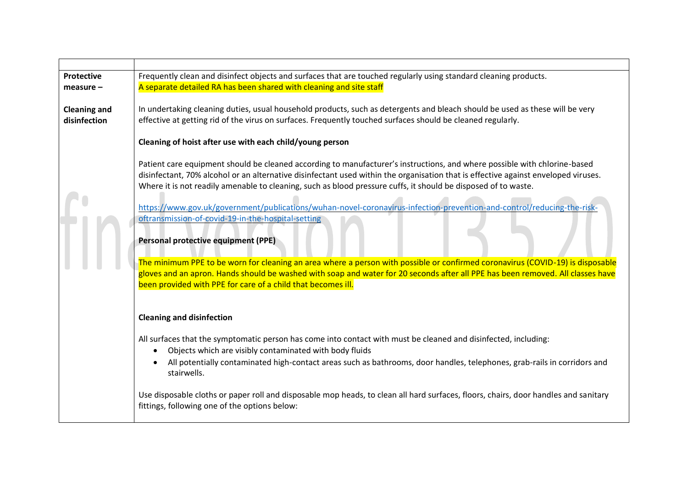| <b>Protective</b>   | Frequently clean and disinfect objects and surfaces that are touched regularly using standard cleaning products.                    |  |  |
|---------------------|-------------------------------------------------------------------------------------------------------------------------------------|--|--|
| $measure -$         | A separate detailed RA has been shared with cleaning and site staff                                                                 |  |  |
|                     |                                                                                                                                     |  |  |
| <b>Cleaning and</b> | In undertaking cleaning duties, usual household products, such as detergents and bleach should be used as these will be very        |  |  |
| disinfection        | effective at getting rid of the virus on surfaces. Frequently touched surfaces should be cleaned regularly.                         |  |  |
|                     |                                                                                                                                     |  |  |
|                     | Cleaning of hoist after use with each child/young person                                                                            |  |  |
|                     |                                                                                                                                     |  |  |
|                     | Patient care equipment should be cleaned according to manufacturer's instructions, and where possible with chlorine-based           |  |  |
|                     | disinfectant, 70% alcohol or an alternative disinfectant used within the organisation that is effective against enveloped viruses.  |  |  |
|                     | Where it is not readily amenable to cleaning, such as blood pressure cuffs, it should be disposed of to waste.                      |  |  |
|                     |                                                                                                                                     |  |  |
|                     | https://www.gov.uk/government/publications/wuhan-novel-coronavirus-infection-prevention-and-control/reducing-the-risk-              |  |  |
|                     | oftransmission-of-covid-19-in-the-hospital-setting                                                                                  |  |  |
|                     |                                                                                                                                     |  |  |
|                     | Personal protective equipment (PPE)                                                                                                 |  |  |
|                     |                                                                                                                                     |  |  |
|                     | The minimum PPE to be worn for cleaning an area where a person with possible or confirmed coronavirus (COVID-19) is disposable      |  |  |
|                     | gloves and an apron. Hands should be washed with soap and water for 20 seconds after all PPE has been removed. All classes have     |  |  |
|                     | been provided with PPE for care of a child that becomes ill.                                                                        |  |  |
|                     |                                                                                                                                     |  |  |
|                     |                                                                                                                                     |  |  |
|                     | <b>Cleaning and disinfection</b>                                                                                                    |  |  |
|                     |                                                                                                                                     |  |  |
|                     | All surfaces that the symptomatic person has come into contact with must be cleaned and disinfected, including:                     |  |  |
|                     | Objects which are visibly contaminated with body fluids<br>$\bullet$                                                                |  |  |
|                     | All potentially contaminated high-contact areas such as bathrooms, door handles, telephones, grab-rails in corridors and            |  |  |
|                     | stairwells.                                                                                                                         |  |  |
|                     |                                                                                                                                     |  |  |
|                     | Use disposable cloths or paper roll and disposable mop heads, to clean all hard surfaces, floors, chairs, door handles and sanitary |  |  |
|                     | fittings, following one of the options below:                                                                                       |  |  |
|                     |                                                                                                                                     |  |  |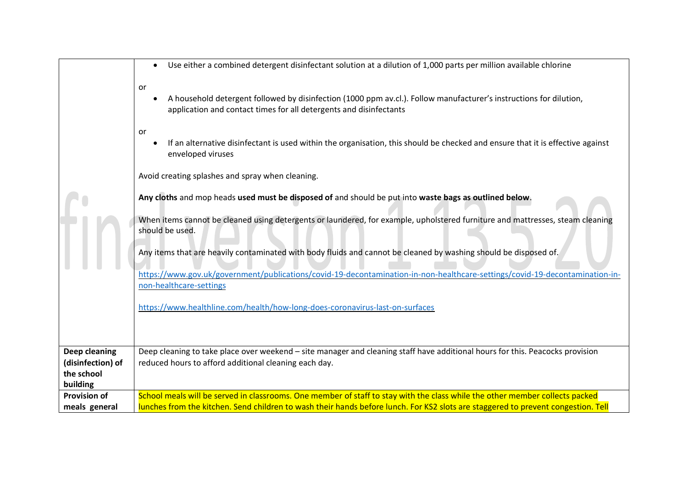|                                 | Use either a combined detergent disinfectant solution at a dilution of 1,000 parts per million available chlorine<br>$\bullet$                                                                 |
|---------------------------------|------------------------------------------------------------------------------------------------------------------------------------------------------------------------------------------------|
|                                 | or<br>A household detergent followed by disinfection (1000 ppm av.cl.). Follow manufacturer's instructions for dilution,<br>application and contact times for all detergents and disinfectants |
|                                 | or<br>If an alternative disinfectant is used within the organisation, this should be checked and ensure that it is effective against<br>enveloped viruses                                      |
|                                 | Avoid creating splashes and spray when cleaning.                                                                                                                                               |
|                                 | Any cloths and mop heads used must be disposed of and should be put into waste bags as outlined below.                                                                                         |
|                                 | When items cannot be cleaned using detergents or laundered, for example, upholstered furniture and mattresses, steam cleaning<br>should be used.                                               |
|                                 | Any items that are heavily contaminated with body fluids and cannot be cleaned by washing should be disposed of.                                                                               |
|                                 | https://www.gov.uk/government/publications/covid-19-decontamination-in-non-healthcare-settings/covid-19-decontamination-in-<br>non-healthcare-settings                                         |
|                                 | https://www.healthline.com/health/how-long-does-coronavirus-last-on-surfaces                                                                                                                   |
|                                 |                                                                                                                                                                                                |
| Deep cleaning                   | Deep cleaning to take place over weekend - site manager and cleaning staff have additional hours for this. Peacocks provision                                                                  |
| (disinfection) of<br>the school | reduced hours to afford additional cleaning each day.                                                                                                                                          |
| building                        |                                                                                                                                                                                                |
| <b>Provision of</b>             | School meals will be served in classrooms. One member of staff to stay with the class while the other member collects packed                                                                   |
| meals general                   | lunches from the kitchen. Send children to wash their hands before lunch. For KS2 slots are staggered to prevent congestion. Tell                                                              |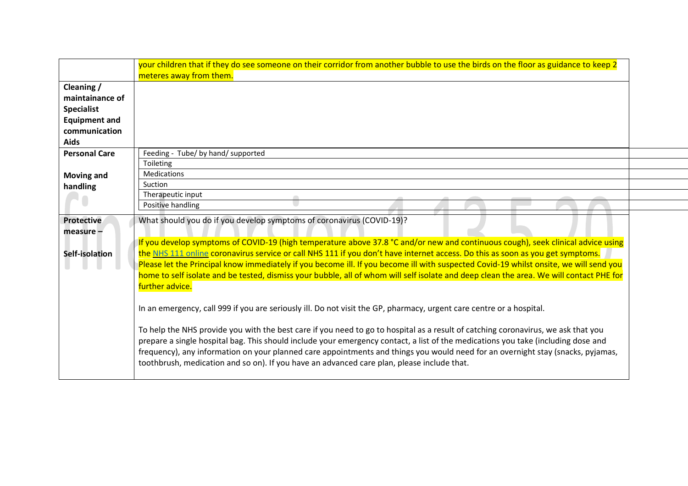|                      | your children that if they do see someone on their corridor from another bubble to use the birds on the floor as guidance to keep 2<br>meteres away from them. |
|----------------------|----------------------------------------------------------------------------------------------------------------------------------------------------------------|
| Cleaning /           |                                                                                                                                                                |
| maintainance of      |                                                                                                                                                                |
| <b>Specialist</b>    |                                                                                                                                                                |
| <b>Equipment and</b> |                                                                                                                                                                |
| communication        |                                                                                                                                                                |
| Aids                 |                                                                                                                                                                |
| <b>Personal Care</b> | Feeding - Tube/ by hand/ supported                                                                                                                             |
|                      | Toileting                                                                                                                                                      |
| <b>Moving and</b>    | <b>Medications</b>                                                                                                                                             |
| handling             | Suction                                                                                                                                                        |
|                      | Therapeutic input<br>$\sqrt{2}$                                                                                                                                |
|                      | Positive handling                                                                                                                                              |
| <b>Protective</b>    | What should you do if you develop symptoms of coronavirus (COVID-19)?                                                                                          |
| measure $-$          |                                                                                                                                                                |
|                      | If you develop symptoms of COVID-19 (high temperature above 37.8 °C and/or new and continuous cough), seek clinical advice using                               |
| Self-isolation       | the NHS 111 online coronavirus service or call NHS 111 if you don't have internet access. Do this as soon as you get symptoms.                                 |
|                      | Please let the Principal know immediately if you become ill. If you become ill with suspected Covid-19 whilst onsite, we will send you                         |
|                      | home to self isolate and be tested, dismiss your bubble, all of whom will self isolate and deep clean the area. We will contact PHE for                        |
|                      | further advice.                                                                                                                                                |
|                      |                                                                                                                                                                |
|                      | In an emergency, call 999 if you are seriously ill. Do not visit the GP, pharmacy, urgent care centre or a hospital.                                           |
|                      |                                                                                                                                                                |
|                      | To help the NHS provide you with the best care if you need to go to hospital as a result of catching coronavirus, we ask that you                              |
|                      | prepare a single hospital bag. This should include your emergency contact, a list of the medications you take (including dose and                              |
|                      | frequency), any information on your planned care appointments and things you would need for an overnight stay (snacks, pyjamas,                                |
|                      | toothbrush, medication and so on). If you have an advanced care plan, please include that.                                                                     |
|                      |                                                                                                                                                                |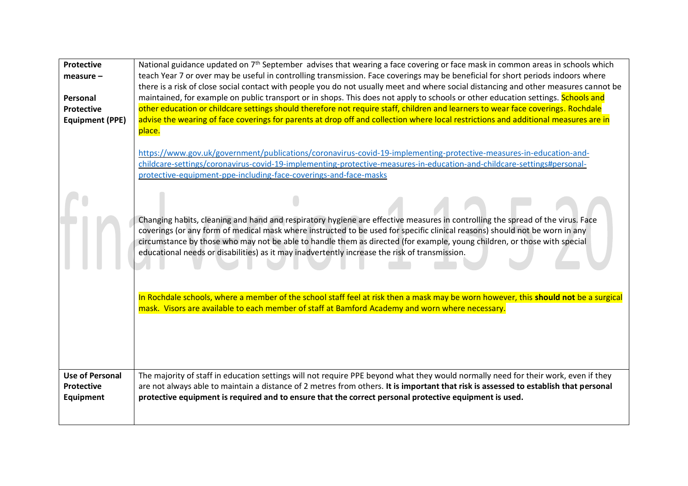| Protective                                        | National guidance updated on 7 <sup>th</sup> September advises that wearing a face covering or face mask in common areas in schools which                                                                                                                                                                                                                                                                                                                                                  |  |  |
|---------------------------------------------------|--------------------------------------------------------------------------------------------------------------------------------------------------------------------------------------------------------------------------------------------------------------------------------------------------------------------------------------------------------------------------------------------------------------------------------------------------------------------------------------------|--|--|
| $measure -$                                       | teach Year 7 or over may be useful in controlling transmission. Face coverings may be beneficial for short periods indoors where                                                                                                                                                                                                                                                                                                                                                           |  |  |
|                                                   | there is a risk of close social contact with people you do not usually meet and where social distancing and other measures cannot be                                                                                                                                                                                                                                                                                                                                                       |  |  |
| Personal                                          | maintained, for example on public transport or in shops. This does not apply to schools or other education settings. Schools and                                                                                                                                                                                                                                                                                                                                                           |  |  |
| <b>Protective</b>                                 | other education or childcare settings should therefore not require staff, children and learners to wear face coverings. Rochdale                                                                                                                                                                                                                                                                                                                                                           |  |  |
| <b>Equipment (PPE)</b>                            | advise the wearing of face coverings for parents at drop off and collection where local restrictions and additional measures are in                                                                                                                                                                                                                                                                                                                                                        |  |  |
|                                                   | place.<br>https://www.gov.uk/government/publications/coronavirus-covid-19-implementing-protective-measures-in-education-and-<br>childcare-settings/coronavirus-covid-19-implementing-protective-measures-in-education-and-childcare-settings#personal-<br>protective-equipment-ppe-including-face-coverings-and-face-masks                                                                                                                                                                 |  |  |
|                                                   |                                                                                                                                                                                                                                                                                                                                                                                                                                                                                            |  |  |
|                                                   | Changing habits, cleaning and hand and respiratory hygiene are effective measures in controlling the spread of the virus. Face<br>coverings (or any form of medical mask where instructed to be used for specific clinical reasons) should not be worn in any<br>circumstance by those who may not be able to handle them as directed (for example, young children, or those with special<br>educational needs or disabilities) as it may inadvertently increase the risk of transmission. |  |  |
|                                                   | In Rochdale schools, where a member of the school staff feel at risk then a mask may be worn however, this should not be a surgical<br>mask. Visors are available to each member of staff at Bamford Academy and worn where necessary.                                                                                                                                                                                                                                                     |  |  |
| <b>Use of Personal</b><br>Protective<br>Equipment | The majority of staff in education settings will not require PPE beyond what they would normally need for their work, even if they<br>are not always able to maintain a distance of 2 metres from others. It is important that risk is assessed to establish that personal<br>protective equipment is required and to ensure that the correct personal protective equipment is used.                                                                                                       |  |  |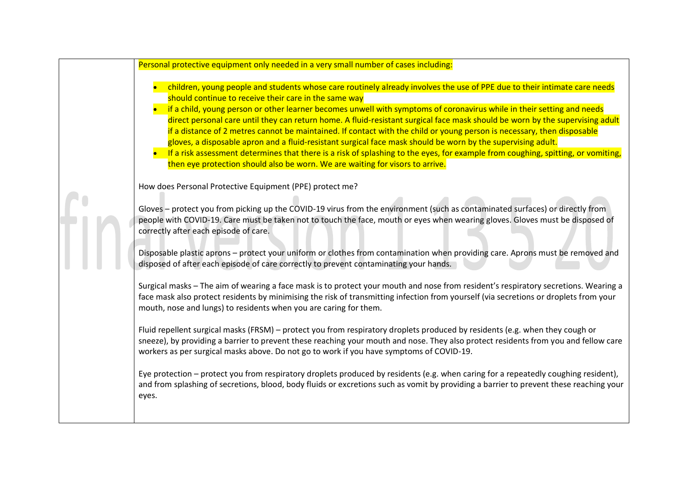| Personal protective equipment only needed in a very small number of cases including:                                                                                                                                                                                                                                                                                                                                                                                                                                                                                                                                                                                                                                                                                                                                                                                                                          |
|---------------------------------------------------------------------------------------------------------------------------------------------------------------------------------------------------------------------------------------------------------------------------------------------------------------------------------------------------------------------------------------------------------------------------------------------------------------------------------------------------------------------------------------------------------------------------------------------------------------------------------------------------------------------------------------------------------------------------------------------------------------------------------------------------------------------------------------------------------------------------------------------------------------|
| children, young people and students whose care routinely already involves the use of PPE due to their intimate care needs<br>should continue to receive their care in the same way<br>if a child, young person or other learner becomes unwell with symptoms of coronavirus while in their setting and needs<br>direct personal care until they can return home. A fluid-resistant surgical face mask should be worn by the supervising adult<br>if a distance of 2 metres cannot be maintained. If contact with the child or young person is necessary, then disposable<br>gloves, a disposable apron and a fluid-resistant surgical face mask should be worn by the supervising adult.<br>If a risk assessment determines that there is a risk of splashing to the eyes, for example from coughing, spitting, or vomiting,<br>then eye protection should also be worn. We are waiting for visors to arrive. |
| How does Personal Protective Equipment (PPE) protect me?                                                                                                                                                                                                                                                                                                                                                                                                                                                                                                                                                                                                                                                                                                                                                                                                                                                      |
| Gloves - protect you from picking up the COVID-19 virus from the environment (such as contaminated surfaces) or directly from<br>people with COVID-19. Care must be taken not to touch the face, mouth or eyes when wearing gloves. Gloves must be disposed of<br>correctly after each episode of care.                                                                                                                                                                                                                                                                                                                                                                                                                                                                                                                                                                                                       |
| Disposable plastic aprons – protect your uniform or clothes from contamination when providing care. Aprons must be removed and<br>disposed of after each episode of care correctly to prevent contaminating your hands.                                                                                                                                                                                                                                                                                                                                                                                                                                                                                                                                                                                                                                                                                       |
| Surgical masks - The aim of wearing a face mask is to protect your mouth and nose from resident's respiratory secretions. Wearing a<br>face mask also protect residents by minimising the risk of transmitting infection from yourself (via secretions or droplets from your<br>mouth, nose and lungs) to residents when you are caring for them.                                                                                                                                                                                                                                                                                                                                                                                                                                                                                                                                                             |
| Fluid repellent surgical masks (FRSM) – protect you from respiratory droplets produced by residents (e.g. when they cough or<br>sneeze), by providing a barrier to prevent these reaching your mouth and nose. They also protect residents from you and fellow care<br>workers as per surgical masks above. Do not go to work if you have symptoms of COVID-19.                                                                                                                                                                                                                                                                                                                                                                                                                                                                                                                                               |
| Eye protection – protect you from respiratory droplets produced by residents (e.g. when caring for a repeatedly coughing resident),<br>and from splashing of secretions, blood, body fluids or excretions such as vomit by providing a barrier to prevent these reaching your<br>eyes.                                                                                                                                                                                                                                                                                                                                                                                                                                                                                                                                                                                                                        |
|                                                                                                                                                                                                                                                                                                                                                                                                                                                                                                                                                                                                                                                                                                                                                                                                                                                                                                               |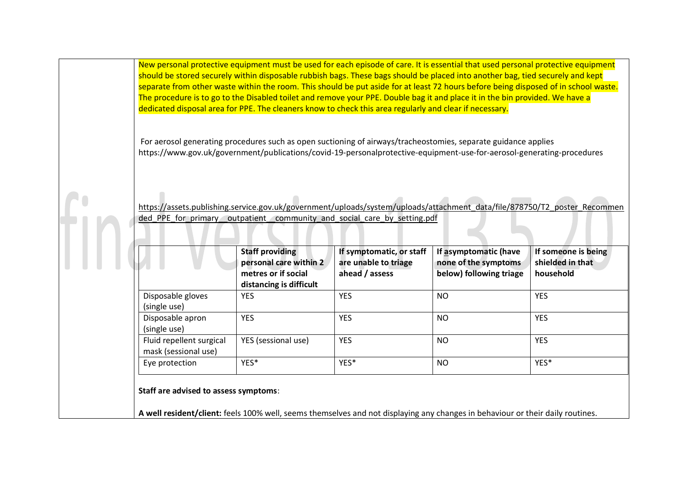New personal protective equipment must be used for each episode of care. It is essential that used personal protective equipment should be stored securely within disposable rubbish bags. These bags should be placed into another bag, tied securely and kept separate from other waste within the room. This should be put aside for at least 72 hours before being disposed of in school waste. The procedure is to go to the Disabled toilet and remove your PPE. Double bag it and place it in the bin provided. We have a dedicated disposal area for PPE. The cleaners know to check this area regularly and clear if necessary.

For aerosol generating procedures such as open suctioning of airways/tracheostomies, separate guidance applies https://www.gov.uk/government/publications/covid-19-personalprotective-equipment-use-for-aerosol-generating-procedures

[https://assets.publishing.service.gov.uk/government/uploads/system/uploads/attachment\\_data/file/878750/T2\\_poster\\_Recommen](https://assets.publishing.service.gov.uk/government/uploads/system/uploads/attachment_data/file/878750/T2_poster_Recommended_PPE_for_primary__outpatient__community_and_social_care_by_setting.pdf) ded PPE for primary outpatient community and social care by setting.pdf

|                                                  | <b>Staff providing</b><br>personal care within 2<br>metres or if social<br>distancing is difficult | If symptomatic, or staff<br>are unable to triage<br>ahead / assess | If asymptomatic (have<br>none of the symptoms<br>below) following triage | If someone is being<br>shielded in that<br>household |
|--------------------------------------------------|----------------------------------------------------------------------------------------------------|--------------------------------------------------------------------|--------------------------------------------------------------------------|------------------------------------------------------|
| Disposable gloves<br>(single use)                | <b>YES</b>                                                                                         | <b>YES</b>                                                         | <b>NO</b>                                                                | <b>YES</b>                                           |
| Disposable apron<br>(single use)                 | <b>YES</b>                                                                                         | <b>YES</b>                                                         | <b>NO</b>                                                                | <b>YES</b>                                           |
| Fluid repellent surgical<br>mask (sessional use) | YES (sessional use)                                                                                | <b>YES</b>                                                         | <b>NO</b>                                                                | <b>YES</b>                                           |
| Eye protection                                   | YES*                                                                                               | YES*                                                               | <b>NO</b>                                                                | YES*                                                 |

**Staff are advised to assess symptoms**:

**A well resident/client:** feels 100% well, seems themselves and not displaying any changes in behaviour or their daily routines.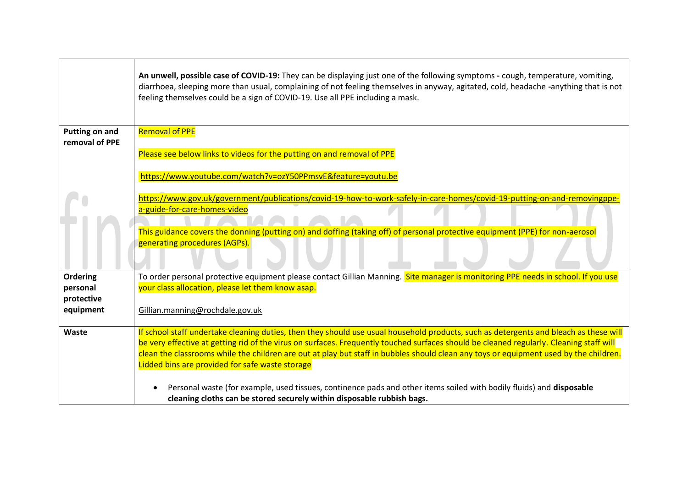|                        | An unwell, possible case of COVID-19: They can be displaying just one of the following symptoms - cough, temperature, vomiting,<br>diarrhoea, sleeping more than usual, complaining of not feeling themselves in anyway, agitated, cold, headache -anything that is not<br>feeling themselves could be a sign of COVID-19. Use all PPE including a mask. |
|------------------------|----------------------------------------------------------------------------------------------------------------------------------------------------------------------------------------------------------------------------------------------------------------------------------------------------------------------------------------------------------|
| <b>Putting on and</b>  | <b>Removal of PPE</b>                                                                                                                                                                                                                                                                                                                                    |
| removal of PPE         | Please see below links to videos for the putting on and removal of PPE                                                                                                                                                                                                                                                                                   |
|                        | https://www.youtube.com/watch?v=ozY50PPmsvE&feature=youtu.be                                                                                                                                                                                                                                                                                             |
|                        | https://www.gov.uk/government/publications/covid-19-how-to-work-safely-in-care-homes/covid-19-putting-on-and-removingppe-                                                                                                                                                                                                                                |
|                        | a-guide-for-care-homes-video                                                                                                                                                                                                                                                                                                                             |
|                        | This guidance covers the donning (putting on) and doffing (taking off) of personal protective equipment (PPE) for non-aerosol                                                                                                                                                                                                                            |
|                        | generating procedures (AGPs).                                                                                                                                                                                                                                                                                                                            |
| <b>Ordering</b>        | To order personal protective equipment please contact Gillian Manning. Site manager is monitoring PPE needs in school. If you use                                                                                                                                                                                                                        |
| personal<br>protective | your class allocation, please let them know asap.                                                                                                                                                                                                                                                                                                        |
| equipment              | Gillian.manning@rochdale.gov.uk                                                                                                                                                                                                                                                                                                                          |
| Waste                  | If school staff undertake cleaning duties, then they should use usual household products, such as detergents and bleach as these will                                                                                                                                                                                                                    |
|                        | be very effective at getting rid of the virus on surfaces. Frequently touched surfaces should be cleaned regularly. Cleaning staff will<br>clean the classrooms while the children are out at play but staff in bubbles should clean any toys or equipment used by the children.                                                                         |
|                        | Lidded bins are provided for safe waste storage                                                                                                                                                                                                                                                                                                          |
|                        | Personal waste (for example, used tissues, continence pads and other items soiled with bodily fluids) and disposable<br>$\bullet$                                                                                                                                                                                                                        |
|                        | cleaning cloths can be stored securely within disposable rubbish bags.                                                                                                                                                                                                                                                                                   |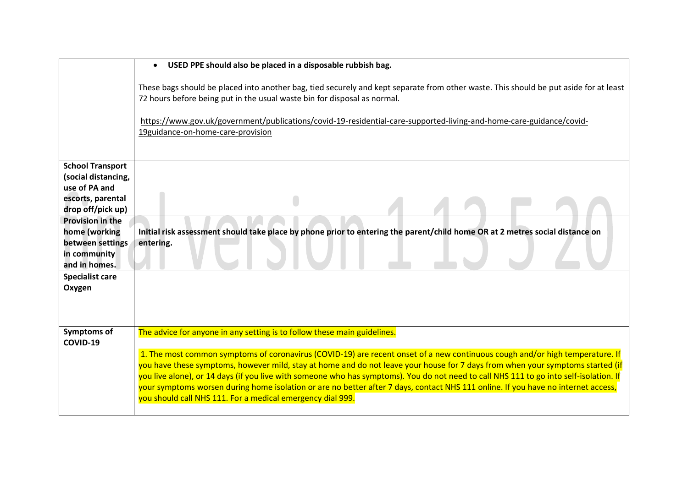|                                      | USED PPE should also be placed in a disposable rubbish bag.<br>$\bullet$                                                                                                                                                                                                 |
|--------------------------------------|--------------------------------------------------------------------------------------------------------------------------------------------------------------------------------------------------------------------------------------------------------------------------|
|                                      | These bags should be placed into another bag, tied securely and kept separate from other waste. This should be put aside for at least<br>72 hours before being put in the usual waste bin for disposal as normal.                                                        |
|                                      | https://www.gov.uk/government/publications/covid-19-residential-care-supported-living-and-home-care-guidance/covid-                                                                                                                                                      |
|                                      | 19guidance-on-home-care-provision                                                                                                                                                                                                                                        |
|                                      |                                                                                                                                                                                                                                                                          |
| <b>School Transport</b>              |                                                                                                                                                                                                                                                                          |
| (social distancing,<br>use of PA and |                                                                                                                                                                                                                                                                          |
| escorts, parental                    |                                                                                                                                                                                                                                                                          |
| drop off/pick up)                    |                                                                                                                                                                                                                                                                          |
| <b>Provision in the</b>              |                                                                                                                                                                                                                                                                          |
| home (working                        | Initial risk assessment should take place by phone prior to entering the parent/child home OR at 2 metres social distance on                                                                                                                                             |
| between settings<br>in community     | entering.                                                                                                                                                                                                                                                                |
| and in homes.                        |                                                                                                                                                                                                                                                                          |
| <b>Specialist care</b>               |                                                                                                                                                                                                                                                                          |
| Oxygen                               |                                                                                                                                                                                                                                                                          |
|                                      |                                                                                                                                                                                                                                                                          |
|                                      |                                                                                                                                                                                                                                                                          |
| Symptoms of<br>COVID-19              | The advice for anyone in any setting is to follow these main guidelines.                                                                                                                                                                                                 |
|                                      | 1. The most common symptoms of coronavirus (COVID-19) are recent onset of a new continuous cough and/or high temperature. If                                                                                                                                             |
|                                      | you have these symptoms, however mild, stay at home and do not leave your house for 7 days from when your symptoms started (if<br>you live alone), or 14 days (if you live with someone who has symptoms). You do not need to call NHS 111 to go into self-isolation. If |
|                                      | your symptoms worsen during home isolation or are no better after 7 days, contact NHS 111 online. If you have no internet access,                                                                                                                                        |
|                                      | you should call NHS 111. For a medical emergency dial 999.                                                                                                                                                                                                               |
|                                      |                                                                                                                                                                                                                                                                          |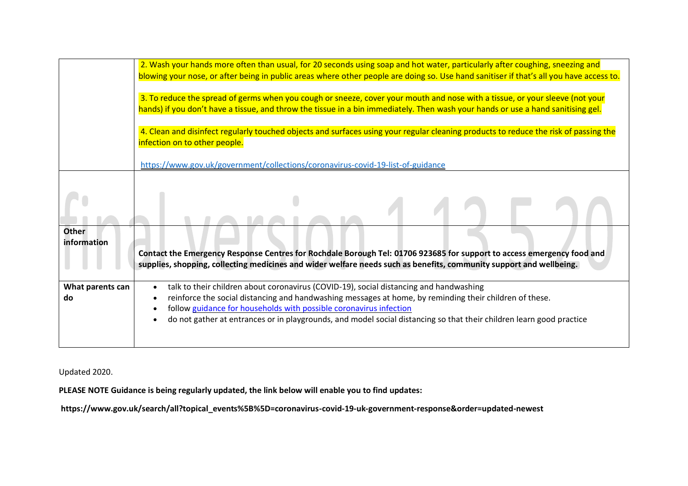|                             | 2. Wash your hands more often than usual, for 20 seconds using soap and hot water, particularly after coughing, sneezing and<br>blowing your nose, or after being in public areas where other people are doing so. Use hand sanitiser if that's all you have access to.                                                                                                                                      |
|-----------------------------|--------------------------------------------------------------------------------------------------------------------------------------------------------------------------------------------------------------------------------------------------------------------------------------------------------------------------------------------------------------------------------------------------------------|
|                             | 3. To reduce the spread of germs when you cough or sneeze, cover your mouth and nose with a tissue, or your sleeve (not your<br>hands) if you don't have a tissue, and throw the tissue in a bin immediately. Then wash your hands or use a hand sanitising gel.                                                                                                                                             |
|                             | 4. Clean and disinfect regularly touched objects and surfaces using your regular cleaning products to reduce the risk of passing the<br>infection on to other people.                                                                                                                                                                                                                                        |
|                             | https://www.gov.uk/government/collections/coronavirus-covid-19-list-of-guidance                                                                                                                                                                                                                                                                                                                              |
|                             |                                                                                                                                                                                                                                                                                                                                                                                                              |
| <b>Other</b><br>information | Contact the Emergency Response Centres for Rochdale Borough Tel: 01706 923685 for support to access emergency food and<br>supplies, shopping, collecting medicines and wider welfare needs such as benefits, community support and wellbeing.                                                                                                                                                                |
| What parents can<br>do      | talk to their children about coronavirus (COVID-19), social distancing and handwashing<br>$\bullet$<br>reinforce the social distancing and handwashing messages at home, by reminding their children of these.<br>follow guidance for households with possible coronavirus infection<br>do not gather at entrances or in playgrounds, and model social distancing so that their children learn good practice |

## Updated 2020.

**PLEASE NOTE Guidance is being regularly updated, the link below will enable you to find updates:** 

**https://www.gov.uk/search/all?topical\_events%5B%5D=coronavirus-covid-19-uk-government-response&order=updated-newest**